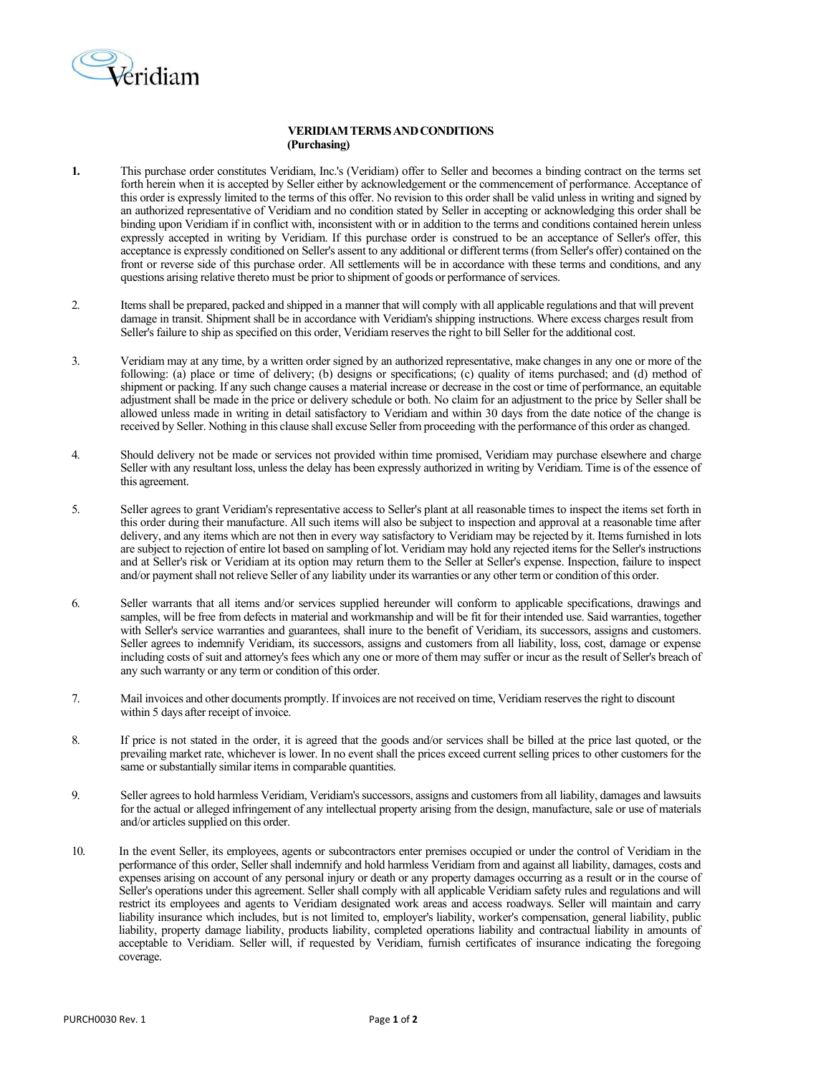

## **VERIDIAMTERMSANDCONDITIONS (Purchasing)**

- **1.** This purchase order constitutes Veridiam, Inc.'s (Veridiam) offer to Seller and becomes a binding contract on the terms set forth herein when it is accepted by Seller either by acknowledgement or the commencement of performance. Acceptance of this order is expressly limited to the terms of this offer. No revision to this order shall be valid unless in writing and signed by an authorized representative of Veridiam and no condition stated by Seller in accepting or acknowledging this order shall be binding upon Veridiam if in conflict with, inconsistent with or in addition to the terms and conditions contained herein unless expressly accepted in writing by Veridiam. If this purchase order is construed to be an acceptance of Seller's offer, this acceptance is expressly conditioned on Seller's assent to any additional or different terms (from Seller's offer) contained on the front or reverse side of this purchase order. All settlements will be in accordance with these terms and conditions, and any questions arising relative thereto must be prior to shipment of goods or performance of services.
- 2. Items shall be prepared, packed and shipped in a manner that will comply with all applicable regulations and that will prevent damage in transit. Shipment shall be in accordance with Veridiam's shipping instructions. Where excess charges result from Seller's failure to ship as specified on this order, Veridiam reserves the right to bill Seller for the additional cost.
- 3. Veridiam may at any time, by a written order signed by an authorized representative, make changes in any one or more of the following: (a) place or time of delivery; (b) designs or specifications; (c) quality of items purchased; and (d) method of shipment or packing. If any such change causes a material increase or decrease in the cost or time of performance, an equitable adjustment shall be made in the price or delivery schedule or both. No claim for an adjustment to the price by Seller shall be allowed unless made in writing in detail satisfactory to Veridiam and within 30 days from the date notice of the change is received by Seller. Nothing in this clause shall excuse Seller from proceeding with the performance of this order as changed.
- 4. Should delivery not be made or services not provided within time promised, Veridiam may purchase elsewhere and charge Seller with any resultant loss, unless the delay has been expressly authorized in writing by Veridiam. Time is of the essence of this agreement.
- 5. Seller agrees to grant Veridiam's representative access to Seller's plant at all reasonable times to inspect the items set forth in this order during their manufacture. All such items will also be subject to inspection and approval at a reasonable time after delivery, and any items which are not then in every way satisfactory to Veridiam may be rejected by it. Items furnished in lots are subject to rejection of entire lot based on sampling of lot. Veridiam may hold any rejected items for the Seller's instructions and at Seller's risk or Veridiam at its option may return them to the Seller at Seller's expense. Inspection, failure to inspect and/or payment shall not relieve Seller of any liability under its warranties or any other term or condition of this order.
- 6. Seller warrants that all items and/or services supplied hereunder will conform to applicable specifications, drawings and samples, will be free from defects in material and workmanship and will be fit for their intended use. Said warranties, together with Seller's service warranties and guarantees, shall inure to the benefit of Veridiam, its successors, assigns and customers. Seller agrees to indemnify Veridiam, its successors, assigns and customers from all liability, loss, cost, damage or expense including costs of suit and attorney's fees which any one or more of them may suffer or incur as the result of Seller's breach of any such warranty or any term or condition of this order.
- 7. Mail invoices and other documents promptly. If invoices are not received on time, Veridiam reservesthe right to discount within 5 days after receipt of invoice.
- 8. If price is not stated in the order, it is agreed that the goods and/or services shall be billed at the price last quoted, or the prevailing market rate, whichever is lower. In no event shall the prices exceed current selling prices to other customers for the same or substantially similar items in comparable quantities.
- 9. Seller agreesto hold harmless Veridiam, Veridiam'ssuccessors, assigns and customersfrom all liability, damages and lawsuits for the actual or alleged infringement of any intellectual property arising from the design, manufacture, sale or use of materials and/or articles supplied on this order.
- 10. In the event Seller, its employees, agents or subcontractors enter premises occupied or under the control of Veridiam in the performance of this order, Seller shall indemnify and hold harmless Veridiam from and against all liability, damages, costs and expenses arising on account of any personal injury or death or any property damages occurring as a result or in the course of Seller's operations under this agreement. Seller shall comply with all applicable Veridiam safety rules and regulations and will restrict its employees and agents to Veridiam designated work areas and access roadways. Seller will maintain and carry liability insurance which includes, but is not limited to, employer's liability, worker's compensation, general liability, public liability, property damage liability, products liability, completed operations liability and contractual liability in amounts of acceptable to Veridiam. Seller will, if requested by Veridiam, furnish certificates of insurance indicating the foregoing coverage.